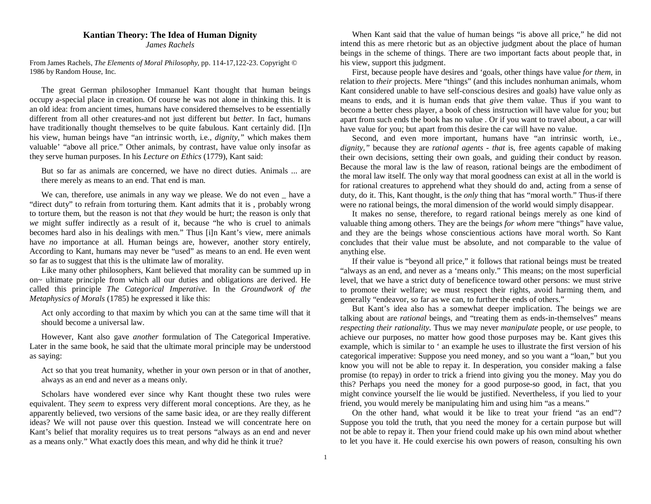## **Kantian Theory: The Idea of Human Dignity** *James Rachels*

From James Rachels, *The Elements of Moral Philosophy,* pp. 114-17,122-23. Copyright © 1986 by Random House, Inc.

The great German philosopher Immanuel Kant thought that human beings occupy a-special place in creation. Of course he was not alone in thinking this. It is an old idea: from ancient times, humans have considered themselves to be essentially different from all other creatures-and not just different but *better.* In fact, humans have traditionally thought themselves to be quite fabulous. Kant certainly did. [I]n his view, human beings have "an intrinsic worth, i.e., *dignity,"* which makes them valuable' "above all price." Other animals, by contrast, have value only insofar as they serve human purposes. In his *Lecture on Ethics* (1779), Kant said:

But so far as animals are concerned, we have no direct duties. Animals ... are there merely as means to an end. That end is man.

We can, therefore, use animals in any way we please. We do not even have a "direct duty" to refrain from torturing them. Kant admits that it is , probably wrong to torture them, but the reason is not that *they* would be hurt; the reason is only that *we* might suffer indirectly as a result of it, because "he who is cruel to animals becomes hard also in his dealings with men." Thus [i]n Kant's view, mere animals have *no* importance at all. Human beings are, however, another story entirely, According to Kant, humans may never be "used" as means to an end. He even went so far as to suggest that this is the ultimate law of morality.

Like many other philosophers, Kant believed that morality can be summed up in on~ ultimate principle from which all our duties and obligations are derived. He called this principle *The Categorical Imperative.* In the *Groundwork of the Metaphysics of Morals* (1785) he expressed it like this:

Act only according to that maxim by which you can at the same time will that it should become a universal law.

However, Kant also gave *another* formulation of The Categorical Imperative. Later in the same book, he said that the ultimate moral principle may be understood as saying:

Act so that you treat humanity, whether in your own person or in that of another, always as an end and never as a means only.

Scholars have wondered ever since why Kant thought these two rules were equivalent. They *seem* to express very different moral conceptions. Are they, as he apparently believed, two versions of the same basic idea, or are they really different ideas? We will not pause over this question. Instead we will concentrate here on Kant's belief that morality requires us to treat persons "always as an end and never as a means only." What exactly does this mean, and why did he think it true?

When Kant said that the value of human beings "is above all price," he did not intend this as mere rhetoric but as an objective judgment about the place of human beings in the scheme of things. There are two important facts about people that, in his view, support this judgment.

First, because people have desires and 'goals, other things have value *for them,* in relation to *their* projects. Mere "things" (and this includes nonhuman animals, whom Kant considered unable to have self-conscious desires and goals) have value only as means to ends, and it is human ends that *give* them value. Thus if you want to become a better chess player, a book of chess instruction will have value for you; but apart from such ends the book has no value . Or if you want to travel about, a car will have value for you; but apart from this desire the car will have no value.

Second, and even more important, humans have "an intrinsic worth, i.e., *dignity,"* because they are *rational agents - that* is, free agents capable of making their own decisions, setting their own goals, and guiding their conduct by reason. Because the moral law is the law of reason, rational beings are the embodiment of the moral law itself. The only way that moral goodness can exist at all in the world is for rational creatures to apprehend what they should do and, acting from a sense of duty, do it. This, Kant thought, is the *only* thing that has "moral worth." Thus-if there were no rational beings, the moral dimension of the world would simply disappear.

It makes no sense, therefore, to regard rational beings merely as one kind of valuable thing among others. They are the beings *for whom* mere "things" have value, and they are the beings whose conscientious actions have moral worth. So Kant concludes that their value must be absolute, and not comparable to the value of anything else.

If their value is "beyond all price," it follows that rational beings must be treated "always as an end, and never as a 'means only." This means; on the most superficial level, that we have a strict duty of beneficence toward other persons: we must strive to promote their welfare; we must respect their rights, avoid harming them, and generally "endeavor, so far as we can, to further the ends of others."

But Kant's idea also has a somewhat deeper implication. The beings we are talking about are *rational* beings, and "treating them as ends-in-themselves" means *respecting their rationality.* Thus we may never *manipulate* people, or *use* people, to achieve our purposes, no matter how good those purposes may be. Kant gives this example, which is similar to ' an example he uses to illustrate the first version of his categorical imperative: Suppose you need money, and so you want a "loan," but you know you will not be able to repay it. In desperation, you consider making a false promise (to repay) in order to trick a friend into giving you the money. May you do this? Perhaps you need the money for a good purpose-so good, in fact, that you might convince yourself the lie would be justified. Nevertheless, if you lied to your friend, you would merely be manipulating him and using him "as a means."

On the other hand, what would it be like to treat your friend "as an end"? Suppose you told the truth, that you need the money for a certain purpose but will not be able to repay it. Then your friend could make up his own mind about whether to let you have it. He could exercise his own powers of reason, consulting his own